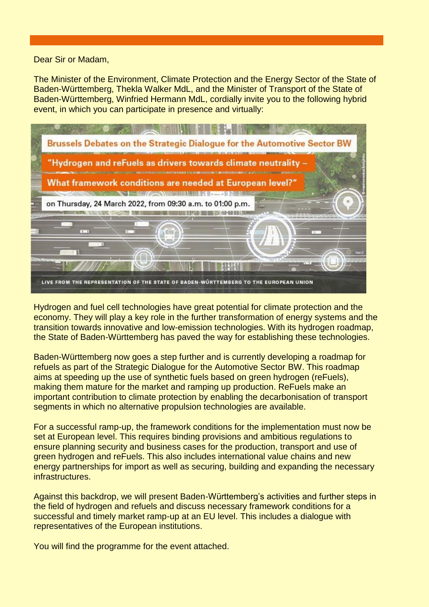Dear Sir or Madam,

The Minister of the Environment, Climate Protection and the Energy Sector of the State of Baden-Württemberg, Thekla Walker MdL, and the Minister of Transport of the State of Baden-Württemberg, Winfried Hermann MdL, cordially invite you to the following hybrid event, in which you can participate in presence and virtually:



Hydrogen and fuel cell technologies have great potential for climate protection and the economy. They will play a key role in the further transformation of energy systems and the transition towards innovative and low-emission technologies. With its hydrogen roadmap, the State of Baden-Württemberg has paved the way for establishing these technologies.

Baden-Württemberg now goes a step further and is currently developing a roadmap for refuels as part of the Strategic Dialogue for the Automotive Sector BW. This roadmap aims at speeding up the use of synthetic fuels based on green hydrogen (reFuels), making them mature for the market and ramping up production. ReFuels make an important contribution to climate protection by enabling the decarbonisation of transport segments in which no alternative propulsion technologies are available.

For a successful ramp-up, the framework conditions for the implementation must now be set at European level. This requires binding provisions and ambitious regulations to ensure planning security and business cases for the production, transport and use of green hydrogen and reFuels. This also includes international value chains and new energy partnerships for import as well as securing, building and expanding the necessary infrastructures.

Against this backdrop, we will present Baden-Württemberg's activities and further steps in the field of hydrogen and refuels and discuss necessary framework conditions for a successful and timely market ramp-up at an EU level. This includes a dialogue with representatives of the European institutions.

You will find the programme for the event attached.